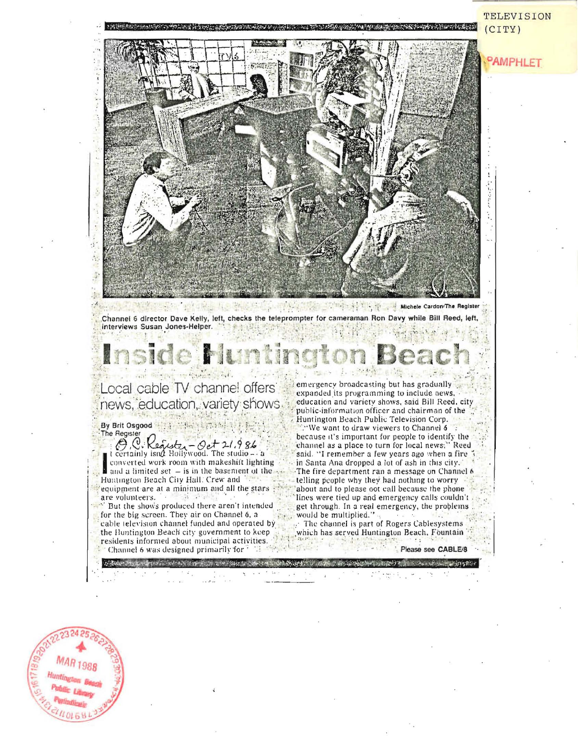PAMPHLET Michele Cardon The Register  $+$  185

Channel 6 director Dave Kelly, left, checks the teleprompter for cameraman Ron Davy while Bill Reed, left, interviews Susan Jones-Helper.

## Local cable TV channel offers news, education, variety shows By Brit Osgood

The Register<br>  $\bigotimes_{i=1}^{n} Q_i$   $\bigotimes_{i=1}^{n} Q_i$   $\bigotimes_{i=1}^{n} Q_i$   $\bigotimes_{i=1}^{n} Q_i$   $\bigotimes_{i=1}^{n} Q_i$   $\bigotimes_{i=1}^{n} Q_i$   $\bigotimes_{i=1}^{n} Q_i$   $\bigotimes_{i=1}^{n} Q_i$   $\bigotimes_{i=1}^{n} Q_i$   $\bigotimes_{i=1}^{n} Q_i$   $\bigotimes_{i=1}^{n} Q_i$   $\bigotimes_{i=1}^{n} Q_i$   $\big$ converted work room with makeshift lighting and a limited set  $-$  is in the basement of the  $\sim$ Huntington Beach City Hall. Crew and equipment are at a minimum and all the stars are volunteers.

" But the shows produced there aren't intended for the big screen. They air on Channel 6, a cable television channel funded and operated by the Huntington Beach city government to keep residents informed about municipal activities. Channel 6 was designed primarily for

emergency broadcasting but has gradually expanded its programming to include news, education and variety shows, said Bill Reed, city public-information officer and chairman of the Huntington Beach Public Television Corp. : We want to draw viewers to Channel 6 because it's important for people to identify the channel as a place to turn for local news;" Reed said. "I remember a few years ago when a fire in Santa Ana dropped a lot of ash in this city. The fire department ran a message on Channel 6 telling people why they had nothing to worry about and to please oot call because the phone lines were tied up and emergency calls couldn't get through. In a real emergency, the problems would be multiplied."

《清单》 600

The channel is part of Rogers Cablesystems which has served Huntington Beach, Fountain



 $(CITY)$ 

TELEVISION